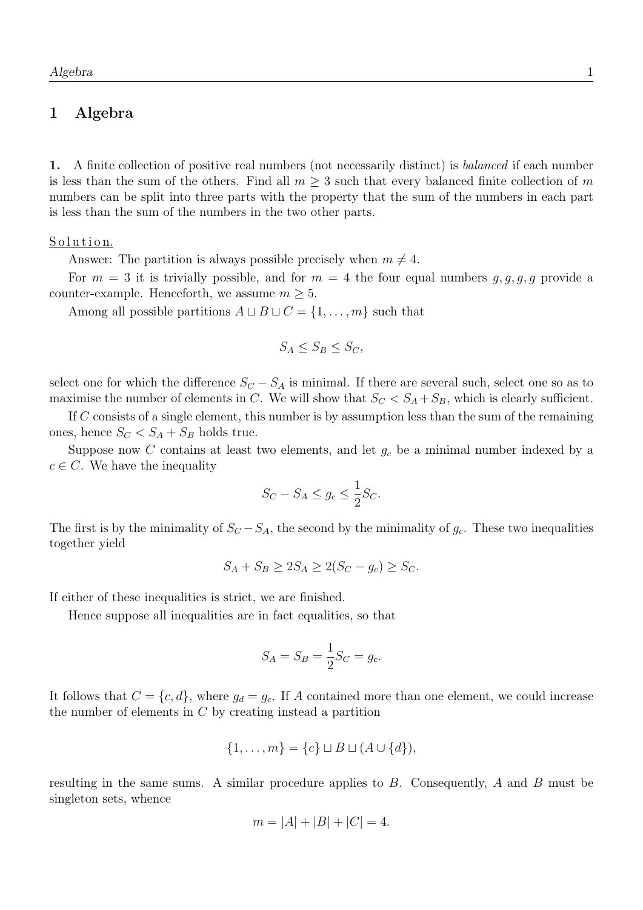# 1 Algebra

1. A finite collection of positive real numbers (not necessarily distinct) is balanced if each number is less than the sum of the others. Find all  $m \geq 3$  such that every balanced finite collection of m numbers can be split into three parts with the property that the sum of the numbers in each part is less than the sum of the numbers in the two other parts.

## Solution.

Answer: The partition is always possible precisely when  $m \neq 4$ .

For  $m = 3$  it is trivially possible, and for  $m = 4$  the four equal numbers  $g, g, g, g$  provide a counter-example. Henceforth, we assume  $m \geq 5$ .

Among all possible partitions  $A \sqcup B \sqcup C = \{1, \ldots, m\}$  such that

$$
S_A \le S_B \le S_C,
$$

select one for which the difference  $S_C - S_A$  is minimal. If there are several such, select one so as to maximise the number of elements in C. We will show that  $S_C < S_A + S_B$ , which is clearly sufficient.

If C consists of a single element, this number is by assumption less than the sum of the remaining ones, hence  $S_C < S_A + S_B$  holds true.

Suppose now C contains at least two elements, and let  $g_c$  be a minimal number indexed by a  $c \in C$ . We have the inequality

$$
S_C - S_A \le g_c \le \frac{1}{2} S_C.
$$

The first is by the minimality of  $S_C - S_A$ , the second by the minimality of  $g_c$ . These two inequalities together yield

$$
S_A + S_B \ge 2S_A \ge 2(S_C - g_c) \ge S_C.
$$

If either of these inequalities is strict, we are finished.

Hence suppose all inequalities are in fact equalities, so that

$$
S_A = S_B = \frac{1}{2}S_C = g_c.
$$

It follows that  $C = \{c, d\}$ , where  $g_d = g_c$ . If A contained more than one element, we could increase the number of elements in  $C$  by creating instead a partition

$$
\{1, \ldots, m\} = \{c\} \sqcup B \sqcup (A \cup \{d\}),
$$

resulting in the same sums. A similar procedure applies to B. Consequently, A and B must be singleton sets, whence

$$
m = |A| + |B| + |C| = 4.
$$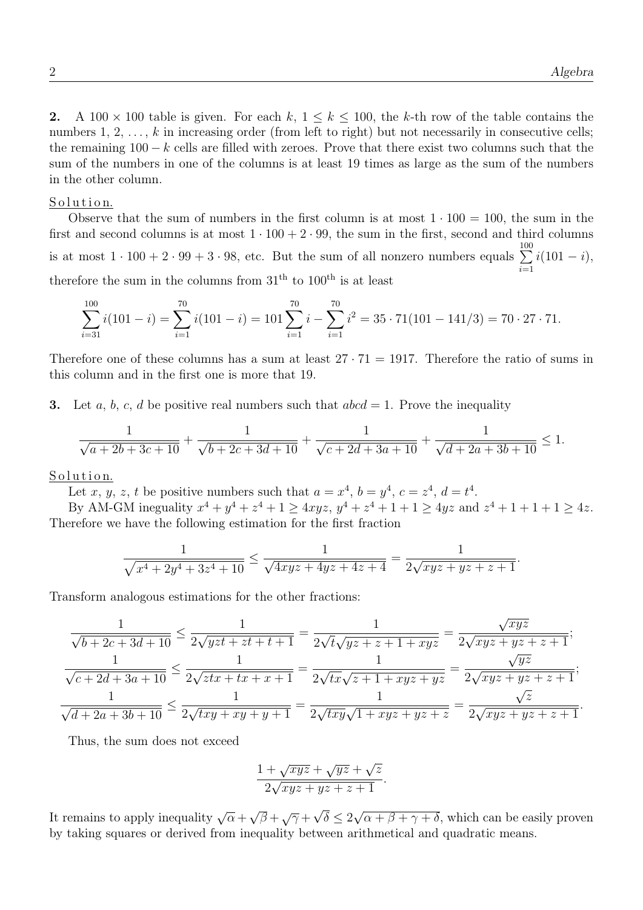.

.

2. A 100  $\times$  100 table is given. For each k,  $1 \leq k \leq 100$ , the k-th row of the table contains the numbers  $1, 2, \ldots, k$  in increasing order (from left to right) but not necessarily in consecutive cells; the remaining  $100 - k$  cells are filled with zeroes. Prove that there exist two columns such that the sum of the numbers in one of the columns is at least 19 times as large as the sum of the numbers in the other column.

#### Solution.

Observe that the sum of numbers in the first column is at most  $1 \cdot 100 = 100$ , the sum in the first and second columns is at most  $1 \cdot 100 + 2 \cdot 99$ , the sum in the first, second and third columns is at most  $1 \cdot 100 + 2 \cdot 99 + 3 \cdot 98$ , etc. But the sum of all nonzero numbers equals  $\sum_{ }^{100}$  $i=1$  $i(101 - i),$ therefore the sum in the columns from  $31<sup>th</sup>$  to  $100<sup>th</sup>$  is at least

$$
\sum_{i=31}^{100} i(101 - i) = \sum_{i=1}^{70} i(101 - i) = 101 \sum_{i=1}^{70} i - \sum_{i=1}^{70} i^2 = 35 \cdot 71(101 - 141/3) = 70 \cdot 27 \cdot 71.
$$

Therefore one of these columns has a sum at least  $27 \cdot 71 = 1917$ . Therefore the ratio of sums in this column and in the first one is more that 19.

3. Let a, b, c, d be positive real numbers such that  $abcd = 1$ . Prove the inequality

$$
\frac{1}{\sqrt{a+2b+3c+10}} + \frac{1}{\sqrt{b+2c+3d+10}} + \frac{1}{\sqrt{c+2d+3a+10}} + \frac{1}{\sqrt{d+2a+3b+10}} \le 1.
$$

## Solution.

Let x, y, z, t be positive numbers such that  $a = x^4$ ,  $b = y^4$ ,  $c = z^4$ ,  $d = t^4$ .

By AM-GM ineguality  $x^4 + y^4 + z^4 + 1 \ge 4xyz$ ,  $y^4 + z^4 + 1 + 1 \ge 4yz$  and  $z^4 + 1 + 1 + 1 \ge 4z$ . Therefore we have the following estimation for the first fraction

$$
\frac{1}{\sqrt{x^4 + 2y^4 + 3z^4 + 10}} \le \frac{1}{\sqrt{4xyz + 4yz + 4z + 4}} = \frac{1}{2\sqrt{xyz + yz + z + 1}}
$$

Transform analogous estimations for the other fractions:

$$
\frac{1}{\sqrt{b+2c+3d+10}} \le \frac{1}{2\sqrt{yzt+zt+t+1}} = \frac{1}{2\sqrt{t}\sqrt{yz+z+1+xyz}} = \frac{\sqrt{xyz}}{2\sqrt{xyz+yz+z+1}};
$$

$$
\frac{1}{\sqrt{c+2d+3a+10}} \le \frac{1}{2\sqrt{zxt+tx+x+1}} = \frac{1}{2\sqrt{tx}\sqrt{z+1+xyz+yz}} = \frac{\sqrt{yz}}{2\sqrt{xyz+yz+z+1}};
$$

$$
\frac{1}{\sqrt{d+2a+3b+10}} \le \frac{1}{2\sqrt{txy+xy+y+1}} = \frac{1}{2\sqrt{txy}\sqrt{1+xyz+yz+z}} = \frac{\sqrt{z}}{2\sqrt{xyz+yz+z+1}}
$$

Thus, the sum does not exceed

$$
\frac{1+\sqrt{xyz}+\sqrt{yz}+\sqrt{z}}{2\sqrt{xyz+yz+z+1}}.
$$

It remains to apply inequality  $\sqrt{\alpha} +$ √  $\overline{\beta} + \sqrt{\gamma} + \sqrt{\gamma}$  $\delta \leq 2$ √  $\alpha + \beta + \gamma + \delta$ , which can be easily proven by taking squares or derived from inequality between arithmetical and quadratic means.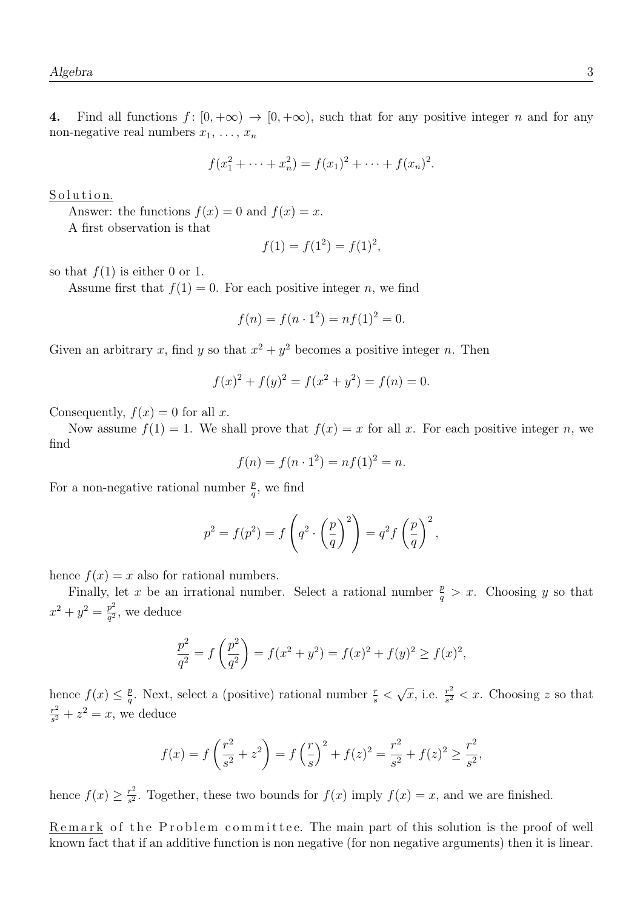4. Find all functions  $f: [0, +\infty) \to [0, +\infty)$ , such that for any positive integer n and for any non-negative real numbers  $x_1, \ldots, x_n$ 

$$
f(x_1^2 + \dots + x_n^2) = f(x_1)^2 + \dots + f(x_n)^2.
$$

Solution.

Answer: the functions  $f(x) = 0$  and  $f(x) = x$ .

A first observation is that

$$
f(1) = f(1^2) = f(1)^2,
$$

so that  $f(1)$  is either 0 or 1.

Assume first that  $f(1) = 0$ . For each positive integer n, we find

$$
f(n) = f(n \cdot 1^2) = nf(1)^2 = 0.
$$

Given an arbitrary x, find y so that  $x^2 + y^2$  becomes a positive integer n. Then

$$
f(x)^{2} + f(y)^{2} = f(x^{2} + y^{2}) = f(n) = 0.
$$

Consequently,  $f(x) = 0$  for all x.

Now assume  $f(1) = 1$ . We shall prove that  $f(x) = x$  for all x. For each positive integer n, we find

$$
f(n) = f(n \cdot 1^2) = nf(1)^2 = n.
$$

For a non-negative rational number  $\frac{p}{q}$ , we find

$$
p^{2} = f(p^{2}) = f\left(q^{2} \cdot \left(\frac{p}{q}\right)^{2}\right) = q^{2} f\left(\frac{p}{q}\right)^{2},
$$

hence  $f(x) = x$  also for rational numbers.

Finally, let x be an irrational number. Select a rational number  $\frac{p}{q} > x$ . Choosing y so that  $x^2 + y^2 = \frac{p^2}{a^2}$  $\frac{p^2}{q^2}$ , we deduce

$$
\frac{p^2}{q^2} = f\left(\frac{p^2}{q^2}\right) = f(x^2 + y^2) = f(x)^2 + f(y)^2 \ge f(x)^2,
$$

hence  $f(x) \leq \frac{p}{a}$  $\frac{p}{q}$ . Next, select a (positive) rational number  $\frac{r}{s}$  <  $\sqrt{x}$ , i.e.  $\frac{r^2}{s^2}$  $\frac{r^2}{s^2}$  < x. Choosing z so that  $r^2$  $\frac{r^2}{s^2} + z^2 = x$ , we deduce

$$
f(x) = f\left(\frac{r^2}{s^2} + z^2\right) = f\left(\frac{r}{s}\right)^2 + f(z)^2 = \frac{r^2}{s^2} + f(z)^2 \ge \frac{r^2}{s^2},
$$

hence  $f(x) \geq \frac{r^2}{s^2}$  $\frac{r^2}{s^2}$ . Together, these two bounds for  $f(x)$  imply  $f(x) = x$ , and we are finished.

Remark of the Problem committee. The main part of this solution is the proof of well known fact that if an additive function is non negative (for non negative arguments) then it is linear.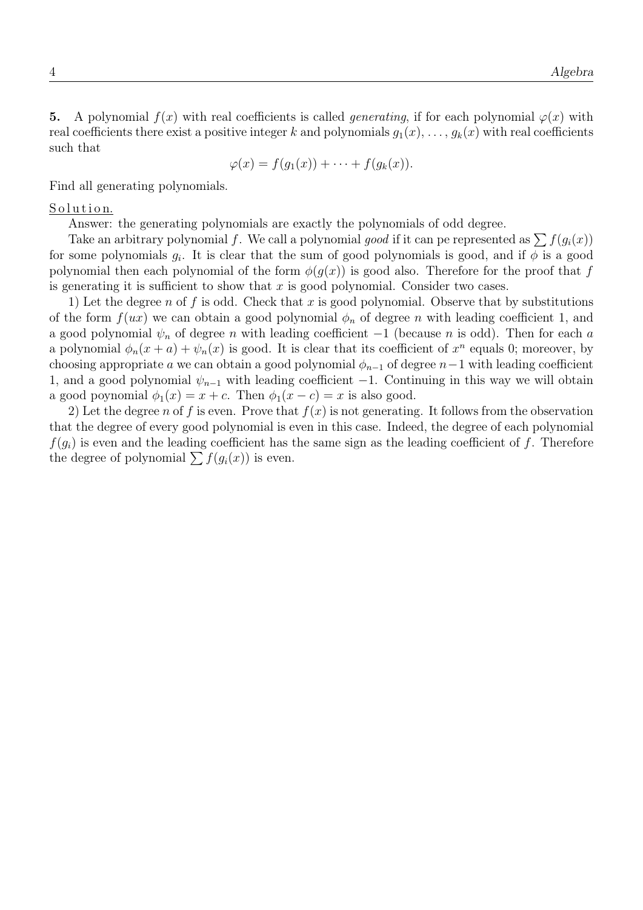5. A polynomial  $f(x)$  with real coefficients is called *generating*, if for each polynomial  $\varphi(x)$  with real coefficients there exist a positive integer k and polynomials  $g_1(x), \ldots, g_k(x)$  with real coefficients such that

$$
\varphi(x) = f(g_1(x)) + \cdots + f(g_k(x)).
$$

Find all generating polynomials.

## Solution.

Answer: the generating polynomials are exactly the polynomials of odd degree.

Take an arbitrary polynomial f. We call a polynomial good if it can pe represented as  $\sum f(g_i(x))$ for some polynomials  $g_i$ . It is clear that the sum of good polynomials is good, and if  $\phi$  is a good polynomial then each polynomial of the form  $\phi(q(x))$  is good also. Therefore for the proof that f is generating it is sufficient to show that  $x$  is good polynomial. Consider two cases.

1) Let the degree n of f is odd. Check that x is good polynomial. Observe that by substitutions of the form  $f(ux)$  we can obtain a good polynomial  $\phi_n$  of degree n with leading coefficient 1, and a good polynomial  $\psi_n$  of degree n with leading coefficient  $-1$  (because n is odd). Then for each a a polynomial  $\phi_n(x+a) + \psi_n(x)$  is good. It is clear that its coefficient of  $x^n$  equals 0; moreover, by choosing appropriate a we can obtain a good polynomial  $\phi_{n-1}$  of degree  $n-1$  with leading coefficient 1, and a good polynomial  $\psi_{n-1}$  with leading coefficient −1. Continuing in this way we will obtain a good poynomial  $\phi_1(x) = x + c$ . Then  $\phi_1(x - c) = x$  is also good.

2) Let the degree n of f is even. Prove that  $f(x)$  is not generating. It follows from the observation that the degree of every good polynomial is even in this case. Indeed, the degree of each polynomial  $f(g_i)$  is even and the leading coefficient has the same sign as the leading coefficient of f. Therefore the degree of polynomial  $\sum f(g_i(x))$  is even.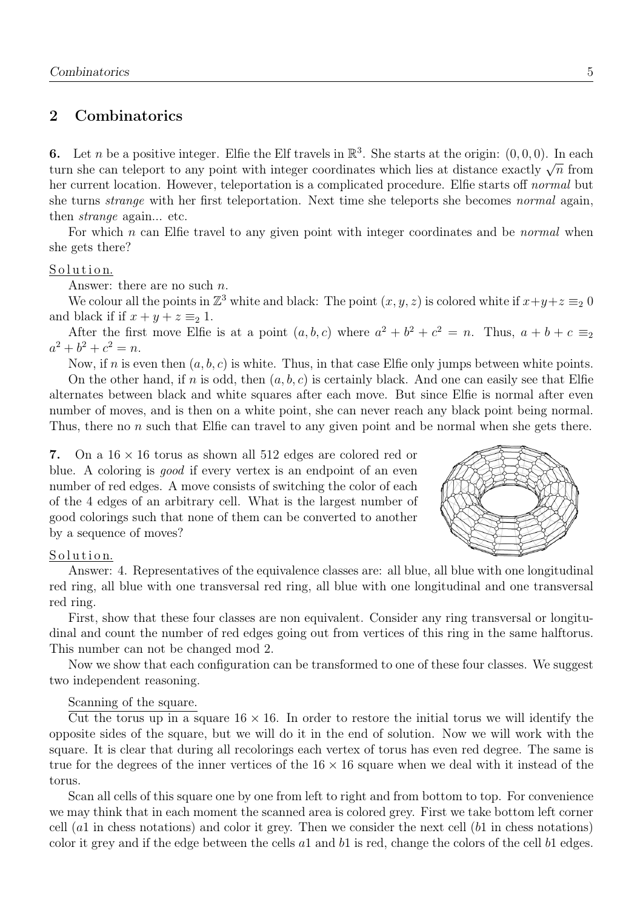# 2 Combinatorics

**6.** Let *n* be a positive integer. Elfie the Elf travels in  $\mathbb{R}^3$ . She starts at the origin:  $(0,0,0)$ . In each **u.** Let *n* be a positive integer. Eine the En travels in  $\mathbb{R}$ . She starts at the origin. (0,0,0). In each turn she can teleport to any point with integer coordinates which lies at distance exactly  $\sqrt{n}$  from her current location. However, teleportation is a complicated procedure. Elfie starts off *normal* but she turns *strange* with her first teleportation. Next time she teleports she becomes *normal* again, then strange again... etc.

For which  $n$  can Elfie travel to any given point with integer coordinates and be *normal* when she gets there?

## Solution.

Answer: there are no such  $n$ .

We colour all the points in  $\mathbb{Z}^3$  white and black: The point  $(x, y, z)$  is colored white if  $x+y+z \equiv_2 0$ and black if if  $x + y + z \equiv 2 1$ .

After the first move Elfie is at a point  $(a, b, c)$  where  $a^2 + b^2 + c^2 = n$ . Thus,  $a + b + c \equiv_2$  $a^2 + b^2 + c^2 = n.$ 

Now, if n is even then  $(a, b, c)$  is white. Thus, in that case Elfie only jumps between white points.

On the other hand, if n is odd, then  $(a, b, c)$  is certainly black. And one can easily see that Elfie alternates between black and white squares after each move. But since Elfie is normal after even number of moves, and is then on a white point, she can never reach any black point being normal. Thus, there no n such that Elfie can travel to any given point and be normal when she gets there.

7. On a  $16 \times 16$  torus as shown all 512 edges are colored red or blue. A coloring is good if every vertex is an endpoint of an even number of red edges. A move consists of switching the color of each of the 4 edges of an arbitrary cell. What is the largest number of good colorings such that none of them can be converted to another by a sequence of moves?



## Solution.

Answer: 4. Representatives of the equivalence classes are: all blue, all blue with one longitudinal red ring, all blue with one transversal red ring, all blue with one longitudinal and one transversal red ring.

First, show that these four classes are non equivalent. Consider any ring transversal or longitudinal and count the number of red edges going out from vertices of this ring in the same halftorus. This number can not be changed mod 2.

Now we show that each configuration can be transformed to one of these four classes. We suggest two independent reasoning.

## Scanning of the square.

Cut the torus up in a square  $16 \times 16$ . In order to restore the initial torus we will identify the opposite sides of the square, but we will do it in the end of solution. Now we will work with the square. It is clear that during all recolorings each vertex of torus has even red degree. The same is true for the degrees of the inner vertices of the  $16 \times 16$  square when we deal with it instead of the torus.

Scan all cells of this square one by one from left to right and from bottom to top. For convenience we may think that in each moment the scanned area is colored grey. First we take bottom left corner cell  $(a1$  in chess notations) and color it grey. Then we consider the next cell  $(b1$  in chess notations) color it grey and if the edge between the cells  $a_1$  and  $b_1$  is red, change the colors of the cell  $b_1$  edges.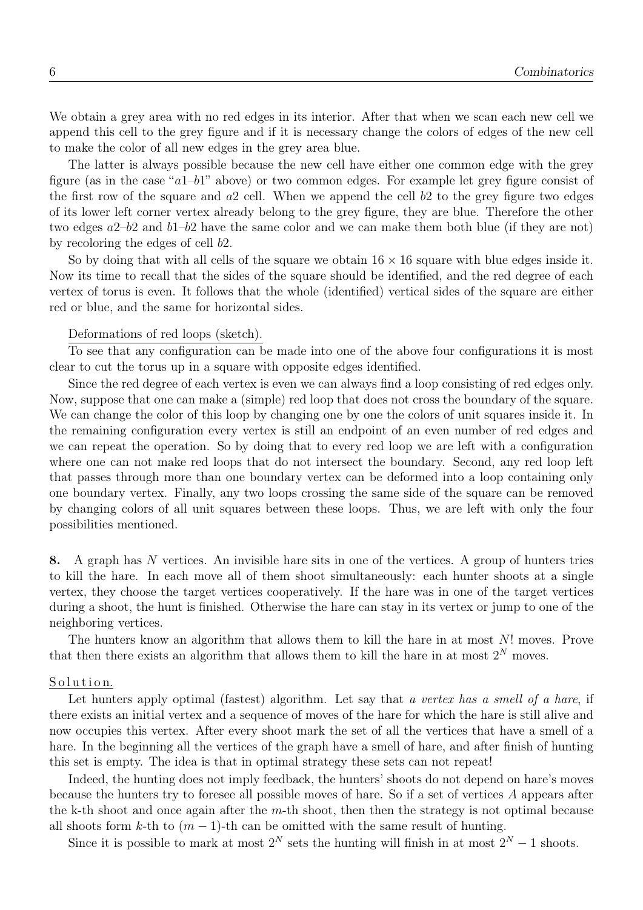We obtain a grey area with no red edges in its interior. After that when we scan each new cell we append this cell to the grey figure and if it is necessary change the colors of edges of the new cell to make the color of all new edges in the grey area blue.

The latter is always possible because the new cell have either one common edge with the grey figure (as in the case " $a1-b1$ " above) or two common edges. For example let grey figure consist of the first row of the square and  $a2$  cell. When we append the cell  $b2$  to the grey figure two edges of its lower left corner vertex already belong to the grey figure, they are blue. Therefore the other two edges  $a2-b2$  and  $b1-b2$  have the same color and we can make them both blue (if they are not) by recoloring the edges of cell b2.

So by doing that with all cells of the square we obtain  $16 \times 16$  square with blue edges inside it. Now its time to recall that the sides of the square should be identified, and the red degree of each vertex of torus is even. It follows that the whole (identified) vertical sides of the square are either red or blue, and the same for horizontal sides.

#### Deformations of red loops (sketch).

To see that any configuration can be made into one of the above four configurations it is most clear to cut the torus up in a square with opposite edges identified.

Since the red degree of each vertex is even we can always find a loop consisting of red edges only. Now, suppose that one can make a (simple) red loop that does not cross the boundary of the square. We can change the color of this loop by changing one by one the colors of unit squares inside it. In the remaining configuration every vertex is still an endpoint of an even number of red edges and we can repeat the operation. So by doing that to every red loop we are left with a configuration where one can not make red loops that do not intersect the boundary. Second, any red loop left that passes through more than one boundary vertex can be deformed into a loop containing only one boundary vertex. Finally, any two loops crossing the same side of the square can be removed by changing colors of all unit squares between these loops. Thus, we are left with only the four possibilities mentioned.

8. A graph has N vertices. An invisible hare sits in one of the vertices. A group of hunters tries to kill the hare. In each move all of them shoot simultaneously: each hunter shoots at a single vertex, they choose the target vertices cooperatively. If the hare was in one of the target vertices during a shoot, the hunt is finished. Otherwise the hare can stay in its vertex or jump to one of the neighboring vertices.

The hunters know an algorithm that allows them to kill the hare in at most N! moves. Prove that then there exists an algorithm that allows them to kill the hare in at most  $2^N$  moves.

#### Solution.

Let hunters apply optimal (fastest) algorithm. Let say that a vertex has a smell of a hare, if there exists an initial vertex and a sequence of moves of the hare for which the hare is still alive and now occupies this vertex. After every shoot mark the set of all the vertices that have a smell of a hare. In the beginning all the vertices of the graph have a smell of hare, and after finish of hunting this set is empty. The idea is that in optimal strategy these sets can not repeat!

Indeed, the hunting does not imply feedback, the hunters' shoots do not depend on hare's moves because the hunters try to foresee all possible moves of hare. So if a set of vertices A appears after the k-th shoot and once again after the  $m$ -th shoot, then then the strategy is not optimal because all shoots form k-th to  $(m-1)$ -th can be omitted with the same result of hunting.

Since it is possible to mark at most  $2^N$  sets the hunting will finish in at most  $2^N - 1$  shoots.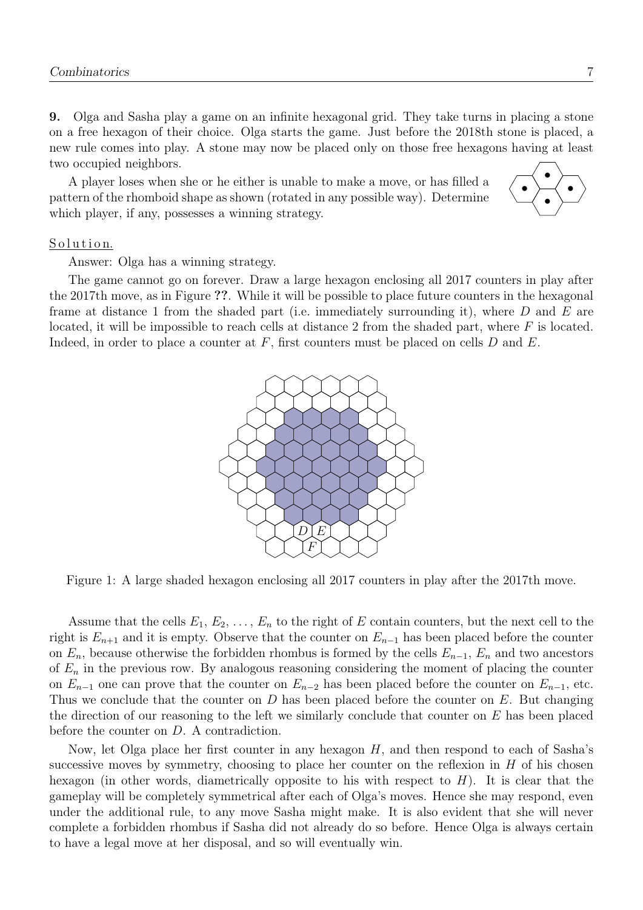9. Olga and Sasha play a game on an infinite hexagonal grid. They take turns in placing a stone on a free hexagon of their choice. Olga starts the game. Just before the 2018th stone is placed, a new rule comes into play. A stone may now be placed only on those free hexagons having at least two occupied neighbors.

A player loses when she or he either is unable to make a move, or has filled a pattern of the rhomboid shape as shown (rotated in any possible way). Determine which player, if any, possesses a winning strategy.



## Solution.

Answer: Olga has a winning strategy.

The game cannot go on forever. Draw a large hexagon enclosing all 2017 counters in play after the 2017th move, as in Figure ??. While it will be possible to place future counters in the hexagonal frame at distance 1 from the shaded part (i.e. immediately surrounding it), where  $D$  and  $E$  are located, it will be impossible to reach cells at distance 2 from the shaded part, where  $F$  is located. Indeed, in order to place a counter at  $F$ , first counters must be placed on cells  $D$  and  $E$ .



Figure 1: A large shaded hexagon enclosing all 2017 counters in play after the 2017th move.

Assume that the cells  $E_1, E_2, \ldots, E_n$  to the right of E contain counters, but the next cell to the right is  $E_{n+1}$  and it is empty. Observe that the counter on  $E_{n-1}$  has been placed before the counter on  $E_n$ , because otherwise the forbidden rhombus is formed by the cells  $E_{n-1}$ ,  $E_n$  and two ancestors of  $E_n$  in the previous row. By analogous reasoning considering the moment of placing the counter on  $E_{n-1}$  one can prove that the counter on  $E_{n-2}$  has been placed before the counter on  $E_{n-1}$ , etc. Thus we conclude that the counter on D has been placed before the counter on  $E$ . But changing the direction of our reasoning to the left we similarly conclude that counter on  $E$  has been placed before the counter on D. A contradiction.

Now, let Olga place her first counter in any hexagon  $H$ , and then respond to each of Sasha's successive moves by symmetry, choosing to place her counter on the reflexion in  $H$  of his chosen hexagon (in other words, diametrically opposite to his with respect to  $H$ ). It is clear that the gameplay will be completely symmetrical after each of Olga's moves. Hence she may respond, even under the additional rule, to any move Sasha might make. It is also evident that she will never complete a forbidden rhombus if Sasha did not already do so before. Hence Olga is always certain to have a legal move at her disposal, and so will eventually win.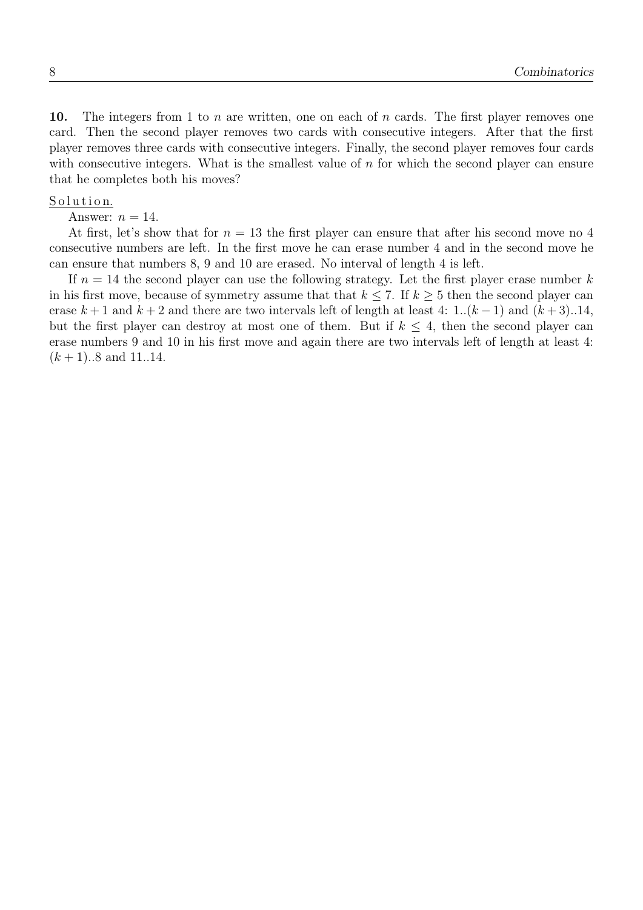10. The integers from 1 to n are written, one on each of n cards. The first player removes one card. Then the second player removes two cards with consecutive integers. After that the first player removes three cards with consecutive integers. Finally, the second player removes four cards with consecutive integers. What is the smallest value of  $n$  for which the second player can ensure that he completes both his moves?

### Solution.

Answer:  $n = 14$ .

At first, let's show that for  $n = 13$  the first player can ensure that after his second move no 4 consecutive numbers are left. In the first move he can erase number 4 and in the second move he can ensure that numbers 8, 9 and 10 are erased. No interval of length 4 is left.

If  $n = 14$  the second player can use the following strategy. Let the first player erase number k in his first move, because of symmetry assume that that  $k \leq 7$ . If  $k \geq 5$  then the second player can erase  $k+1$  and  $k+2$  and there are two intervals left of length at least 4: 1.. $(k-1)$  and  $(k+3)$ ..14, but the first player can destroy at most one of them. But if  $k \leq 4$ , then the second player can erase numbers 9 and 10 in his first move and again there are two intervals left of length at least 4:  $(k + 1)$ ..8 and 11..14.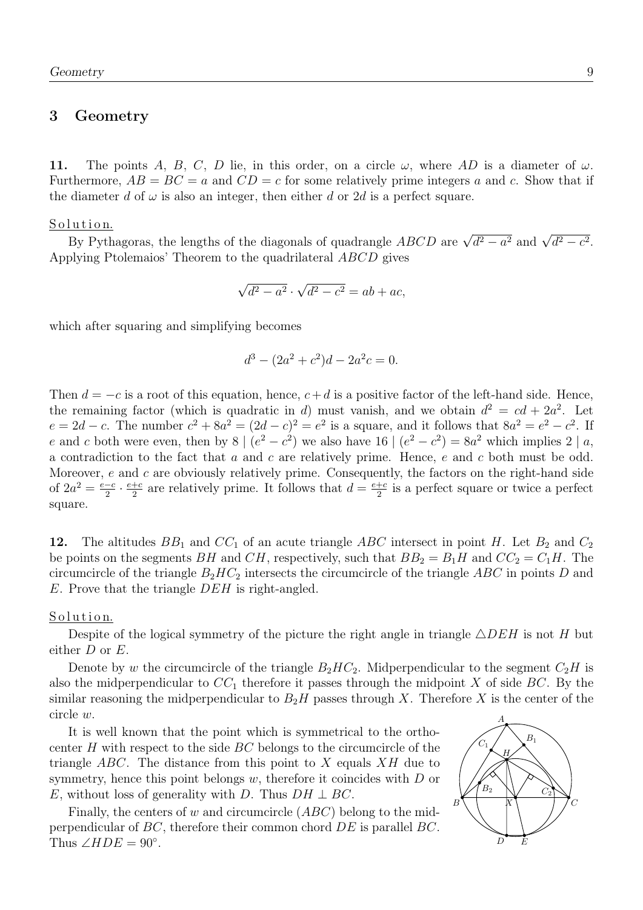## 3 Geometry

11. The points A, B, C, D lie, in this order, on a circle  $\omega$ , where AD is a diameter of  $\omega$ . Furthermore,  $AB = BC = a$  and  $CD = c$  for some relatively prime integers a and c. Show that if the diameter d of  $\omega$  is also an integer, then either d or 2d is a perfect square.

<u>Solution.</u>

Eutron.<br>By Pythagoras, the lengths of the diagonals of quadrangle  $ABCD$  are  $\sqrt{d^2-a^2}$  and  $\sqrt{d^2-c^2}$ . Applying Ptolemaios' Theorem to the quadrilateral ABCD gives

$$
\sqrt{d^2 - a^2} \cdot \sqrt{d^2 - c^2} = ab + ac,
$$

which after squaring and simplifying becomes

$$
d^3 - (2a^2 + c^2)d - 2a^2c = 0.
$$

Then  $d = -c$  is a root of this equation, hence,  $c+d$  is a positive factor of the left-hand side. Hence, the remaining factor (which is quadratic in d) must vanish, and we obtain  $d^2 = cd + 2a^2$ . Let  $e = 2d - c$ . The number  $c^2 + 8a^2 = (2d - c)^2 = e^2$  is a square, and it follows that  $8a^2 = e^2 - c^2$ . If e and c both were even, then by 8 |  $(e^2 - c^2)$  we also have 16 |  $(e^2 - c^2) = 8a^2$  which implies 2 | a, a contradiction to the fact that  $a$  and  $c$  are relatively prime. Hence,  $e$  and  $c$  both must be odd. Moreover, e and c are obviously relatively prime. Consequently, the factors on the right-hand side of  $2a^2 = \frac{e-c}{2}$  $\frac{-c}{2} \cdot \frac{e+c}{2}$  $\frac{+c}{2}$  are relatively prime. It follows that  $d = \frac{e+c}{2}$  $\frac{+c}{2}$  is a perfect square or twice a perfect square.

12. The altitudes  $BB_1$  and  $CC_1$  of an acute triangle ABC intersect in point H. Let  $B_2$  and  $C_2$ be points on the segments BH and CH, respectively, such that  $BB_2 = B_1H$  and  $CC_2 = C_1H$ . The circumcircle of the triangle  $B_2HC_2$  intersects the circumcircle of the triangle ABC in points D and E. Prove that the triangle DEH is right-angled.

## Solution.

Despite of the logical symmetry of the picture the right angle in triangle  $\triangle DEH$  is not H but either  $D$  or  $E$ .

Denote by w the circumcircle of the triangle  $B_2HC_2$ . Midperpendicular to the segment  $C_2H$  is also the midperpendicular to  $CC_1$  therefore it passes through the midpoint X of side BC. By the similar reasoning the midperpendicular to  $B_2H$  passes through X. Therefore X is the center of the circle  $w$ .  $A$ 

It is well known that the point which is symmetrical to the orthocenter  $H$  with respect to the side  $BC$  belongs to the circumcircle of the triangle  $ABC$ . The distance from this point to X equals  $XH$  due to symmetry, hence this point belongs w, therefore it coincides with  $D$  or E, without loss of generality with D. Thus  $DH \perp BC$ .

Finally, the centers of w and circumcircle  $(ABC)$  belong to the midperpendicular of BC, therefore their common chord DE is parallel BC. Thus  $\angle HDE = 90^\circ$ .

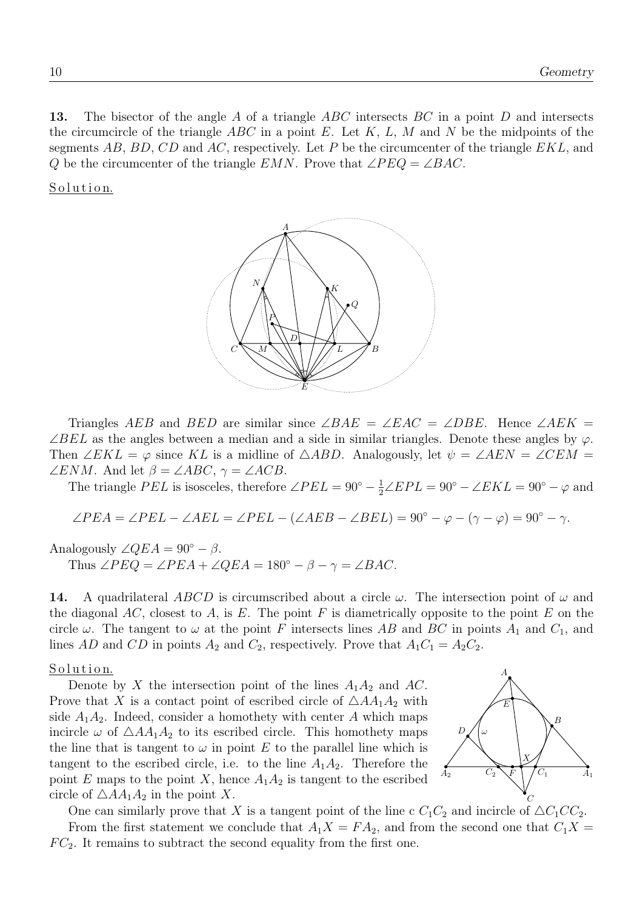13. The bisector of the angle A of a triangle ABC intersects BC in a point D and intersects the circumcircle of the triangle  $ABC$  in a point E. Let K, L, M and N be the midpoints of the segments AB, BD, CD and AC, respectively. Let P be the circumcenter of the triangle  $EKL$ , and Q be the circumcenter of the triangle  $EMN$ . Prove that  $\angle PEQ = \angle BAC$ .

Solution.



Triangles AEB and BED are similar since  $\angle BAE = \angle EAC = \angle DBE$ . Hence  $\angle AEK =$  $\angle BEL$  as the angles between a median and a side in similar triangles. Denote these angles by  $\varphi$ . Then ∠EKL =  $\varphi$  since KL is a midline of  $\triangle ABD$ . Analogously, let  $\psi = \angle AEN = \angle CEM$  =  $\angle ENM$ . And let  $\beta = \angle ABC$ ,  $\gamma = \angle ACB$ .

The triangle PEL is isosceles, therefore  $\angle PEL = 90^{\circ} - \frac{1}{2}\angle EPL = 90^{\circ} - \angle EKL = 90^{\circ} - \varphi$  and

$$
\angle PEA = \angle PEL - \angle AEL = \angle PEL - (\angle AEB - \angle BEL) = 90^{\circ} - \varphi - (\gamma - \varphi) = 90^{\circ} - \gamma.
$$

Analogously  $\angle QEA = 90^\circ - \beta$ . Thus  $\angle PEQ = \angle PEA + \angle QEA = 180^\circ - \beta - \gamma = \angle BAC$ .

**14.** A quadrilateral ABCD is circumscribed about a circle  $\omega$ . The intersection point of  $\omega$  and the diagonal AC, closest to A, is E. The point F is diametrically opposite to the point E on the circle  $\omega$ . The tangent to  $\omega$  at the point F intersects lines AB and BC in points  $A_1$  and  $C_1$ , and lines AD and CD in points  $A_2$  and  $C_2$ , respectively. Prove that  $A_1C_1 = A_2C_2$ .

## Solution.

Denote by X the intersection point of the lines  $A_1A_2$  and AC. Prove that X is a contact point of escribed circle of  $\triangle AA_1A_2$  with side  $A_1A_2$ . Indeed, consider a homothety with center A which maps incircle  $\omega$  of  $\triangle AA_1A_2$  to its escribed circle. This homothety maps the line that is tangent to  $\omega$  in point E to the parallel line which is tangent to the escribed circle, i.e. to the line  $A_1A_2$ . Therefore the point E maps to the point X, hence  $A_1A_2$  is tangent to the escribed circle of  $\triangle AA_1A_2$  in the point X.

A  $A_2$   $C_2 \searrow F \downarrow / C_1$   $A_1$ B  $C_2 \setminus F \cup C_1$  $\overline{D}$ E F X ω

C

One can similarly prove that X is a tangent point of the line c  $C_1C_2$  and incircle of  $\triangle C_1CC_2$ . From the first statement we conclude that  $A_1X = FA_2$ , and from the second one that  $C_1X =$  $FC_2$ . It remains to subtract the second equality from the first one.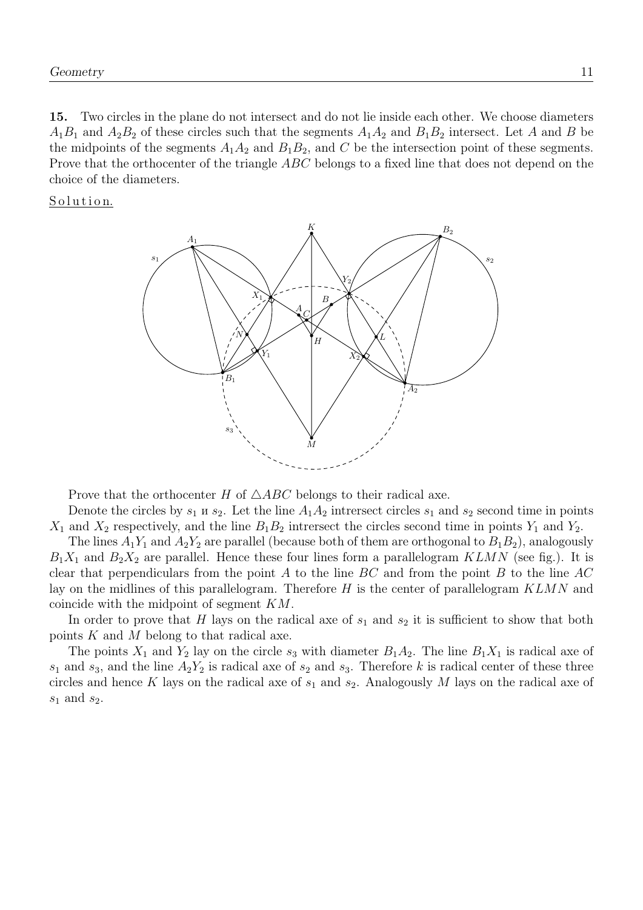15. Two circles in the plane do not intersect and do not lie inside each other. We choose diameters  $A_1B_1$  and  $A_2B_2$  of these circles such that the segments  $A_1A_2$  and  $B_1B_2$  intersect. Let A and B be the midpoints of the segments  $A_1A_2$  and  $B_1B_2$ , and C be the intersection point of these segments. Prove that the orthocenter of the triangle ABC belongs to a fixed line that does not depend on the choice of the diameters.

Solution.



Prove that the orthocenter H of  $\triangle ABC$  belongs to their radical axe.

Denote the circles by  $s_1$  u  $s_2$ . Let the line  $A_1A_2$  intrersect circles  $s_1$  and  $s_2$  second time in points  $X_1$  and  $X_2$  respectively, and the line  $B_1B_2$  intrersect the circles second time in points  $Y_1$  and  $Y_2$ .

The lines  $A_1Y_1$  and  $A_2Y_2$  are parallel (because both of them are orthogonal to  $B_1B_2$ ), analogously  $B_1X_1$  and  $B_2X_2$  are parallel. Hence these four lines form a parallelogram KLMN (see fig.). It is clear that perpendiculars from the point A to the line  $BC$  and from the point B to the line  $AC$ lay on the midlines of this parallelogram. Therefore  $H$  is the center of parallelogram  $KLMN$  and coincide with the midpoint of segment KM.

In order to prove that H lays on the radical axe of  $s_1$  and  $s_2$  it is sufficient to show that both points  $K$  and  $M$  belong to that radical axe.

The points  $X_1$  and  $Y_2$  lay on the circle  $s_3$  with diameter  $B_1A_2$ . The line  $B_1X_1$  is radical axe of  $s_1$  and  $s_3$ , and the line  $A_2Y_2$  is radical axe of  $s_2$  and  $s_3$ . Therefore k is radical center of these three circles and hence K lays on the radical axe of  $s_1$  and  $s_2$ . Analogously M lays on the radical axe of  $s_1$  and  $s_2$ .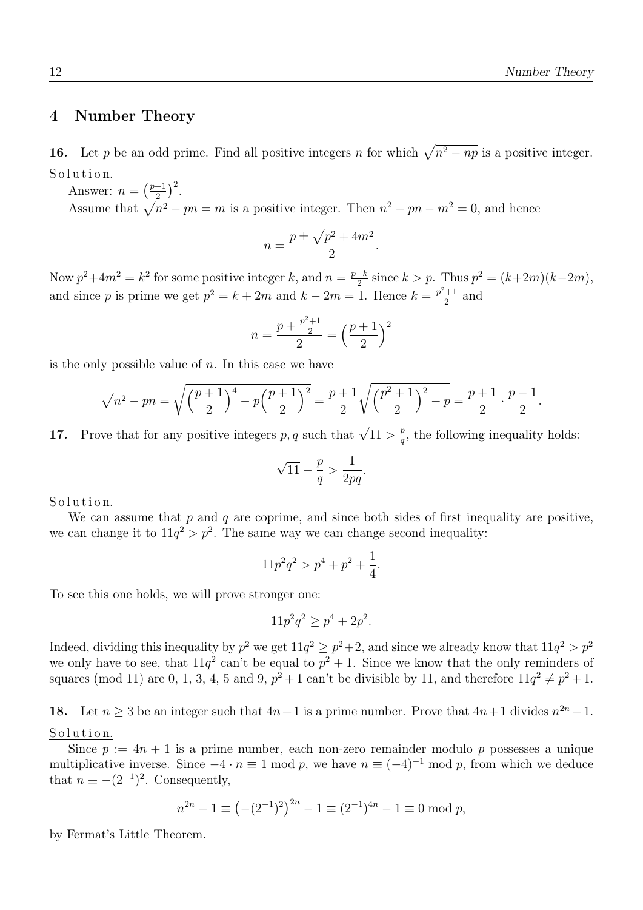.

## 4 Number Theory

16. Let p be an odd prime. Find all positive integers n for which  $\sqrt{n^2 - np}$  is a positive integer. Solution.

Answer:  $n = \left(\frac{p+1}{2}\right)$  $\frac{+1}{2}$  $\Big)^2$ . Assume that  $\sqrt{n^2 - pn} = m$  is a positive integer. Then  $n^2 - pn - m^2 = 0$ , and hence

$$
n = \frac{p \pm \sqrt{p^2 + 4m^2}}{2}.
$$

Now  $p^2+4m^2=k^2$  for some positive integer k, and  $n=\frac{p+k}{2}$  $\frac{1}{2}$  since  $k > p$ . Thus  $p^2 = (k+2m)(k-2m)$ , and since p is prime we get  $p^2 = k + 2m$  and  $k - 2m = 1$ . Hence  $k = \frac{p^2 + 1}{2}$  $\frac{1}{2}$  and

$$
n = \frac{p + \frac{p^2 + 1}{2}}{2} = \left(\frac{p + 1}{2}\right)^2
$$

is the only possible value of  $n$ . In this case we have

$$
\sqrt{n^2 - pn} = \sqrt{\left(\frac{p+1}{2}\right)^4 - p\left(\frac{p+1}{2}\right)^2} = \frac{p+1}{2}\sqrt{\left(\frac{p^2+1}{2}\right)^2 - p} = \frac{p+1}{2} \cdot \frac{p-1}{2}
$$

**17.** Prove that for any positive integers p, q such that  $\sqrt{11} > \frac{p}{q}$  $\frac{p}{q}$ , the following inequality holds:

$$
\sqrt{11} - \frac{p}{q} > \frac{1}{2pq}.
$$

Solution.

We can assume that  $p$  and  $q$  are coprime, and since both sides of first inequality are positive, we can change it to  $11q^2 > p^2$ . The same way we can change second inequality:

$$
11p^2q^2 > p^4 + p^2 + \frac{1}{4}.
$$

To see this one holds, we will prove stronger one:

$$
11p^2q^2 \ge p^4 + 2p^2.
$$

Indeed, dividing this inequality by  $p^2$  we get  $11q^2 \geq p^2+2$ , and since we already know that  $11q^2 > p^2$ we only have to see, that  $11q^2$  can't be equal to  $p^2 + 1$ . Since we know that the only reminders of squares (mod 11) are 0, 1, 3, 4, 5 and 9,  $p^2 + 1$  can't be divisible by 11, and therefore  $11q^2 \neq p^2 + 1$ .

18. Let  $n \geq 3$  be an integer such that  $4n+1$  is a prime number. Prove that  $4n+1$  divides  $n^{2n}-1$ . Solution.

Since  $p := 4n + 1$  is a prime number, each non-zero remainder modulo p possesses a unique multiplicative inverse. Since  $-4 \cdot n \equiv 1 \mod p$ , we have  $n \equiv (-4)^{-1} \mod p$ , from which we deduce that  $n \equiv -(2^{-1})^2$ . Consequently,

$$
n^{2n} - 1 \equiv \left( -(2^{-1})^2 \right)^{2n} - 1 \equiv (2^{-1})^{4n} - 1 \equiv 0 \mod p,
$$

by Fermat's Little Theorem.